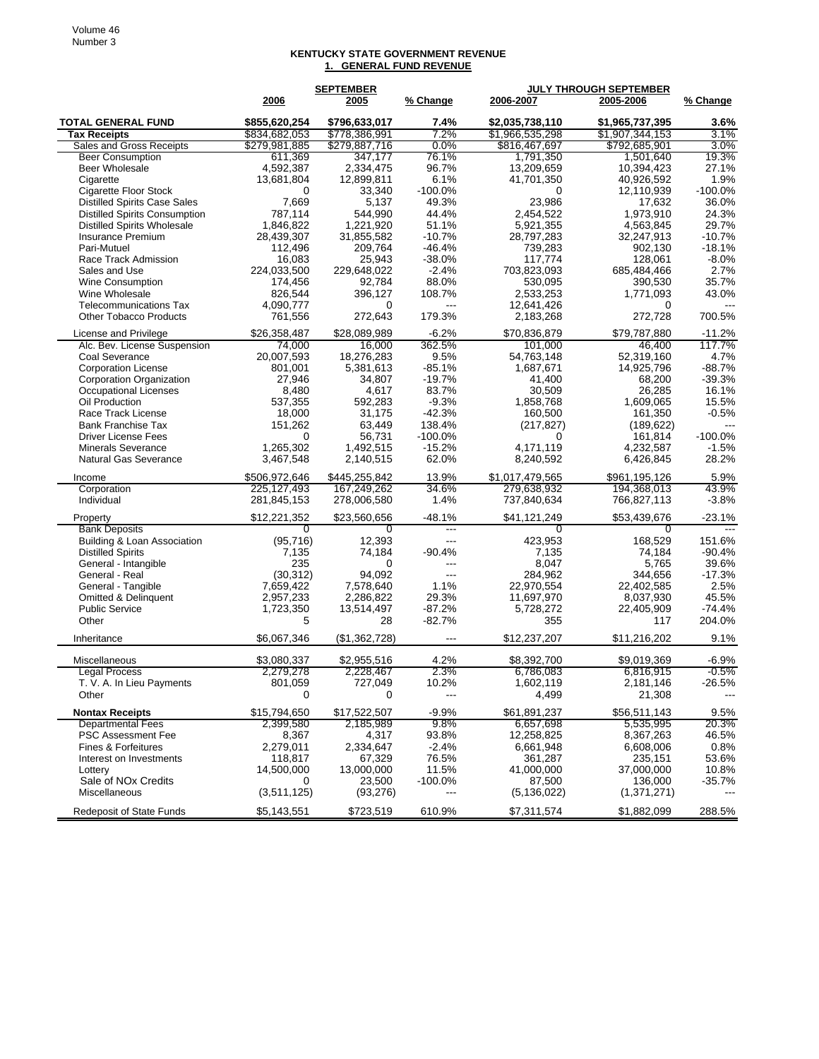## **KENTUCKY STATE GOVERNMENT REVENUE 1. GENERAL FUND REVENUE**

|                                      |                | <b>SEPTEMBER</b> |            | <b>JULY THROUGH SEPTEMBER</b> |                 |                |
|--------------------------------------|----------------|------------------|------------|-------------------------------|-----------------|----------------|
|                                      | 2006           | 2005             | % Change   | 2006-2007                     | 2005-2006       | % Change       |
| <b>TOTAL GENERAL FUND</b>            | \$855,620,254  | \$796,633,017    | 7.4%       | \$2,035,738,110               | \$1,965,737,395 | 3.6%           |
| <b>Tax Receipts</b>                  | \$834,682,053  | \$778,386,991    | 7.2%       | \$1,966,535,298               | \$1,907,344,153 | 3.1%           |
| Sales and Gross Receipts             | \$279,981,885  | \$279,887,716    | $0.0\%$    | \$816,467,697                 | \$792,685,901   | $3.0\%$        |
| <b>Beer Consumption</b>              | 611,369        | 347,177          | 76.1%      | 1,791,350                     | 1,501,640       | 19.3%          |
| <b>Beer Wholesale</b>                | 4,592,387      | 2,334,475        | 96.7%      | 13,209,659                    | 10,394,423      | 27.1%          |
| Cigarette                            | 13,681,804     | 12,899,811       | 6.1%       | 41,701,350                    | 40,926,592      | 1.9%           |
| Cigarette Floor Stock                | 0              | 33,340           | $-100.0\%$ | 0                             | 12,110,939      | $-100.0%$      |
| <b>Distilled Spirits Case Sales</b>  | 7,669          | 5,137            | 49.3%      | 23,986                        | 17,632          | 36.0%          |
| <b>Distilled Spirits Consumption</b> | 787,114        | 544,990          | 44.4%      | 2,454,522                     | 1,973,910       | 24.3%          |
| <b>Distilled Spirits Wholesale</b>   | 1,846,822      | 1,221,920        | 51.1%      | 5,921,355                     | 4,563,845       | 29.7%          |
| Insurance Premium                    | 28,439,307     | 31,855,582       | $-10.7%$   | 28,797,283                    | 32,247,913      | $-10.7%$       |
| Pari-Mutuel                          | 112,496        | 209,764          | $-46.4%$   | 739,283                       | 902,130         | $-18.1%$       |
| Race Track Admission                 | 16.083         | 25,943           | $-38.0%$   | 117.774                       | 128,061         | $-8.0\%$       |
| Sales and Use                        | 224,033,500    | 229,648,022      | $-2.4%$    | 703,823,093                   | 685,484,466     | 2.7%           |
| Wine Consumption                     | 174,456        | 92,784           | 88.0%      | 530,095                       | 390,530         | 35.7%          |
| Wine Wholesale                       | 826,544        | 396,127          | 108.7%     | 2,533,253                     | 1,771,093       | 43.0%          |
| <b>Telecommunications Tax</b>        | 4,090,777      | $\Omega$         | ---        | 12,641,426                    | 0               |                |
| <b>Other Tobacco Products</b>        | 761,556        | 272,643          | 179.3%     | 2,183,268                     | 272,728         | 700.5%         |
| License and Privilege                | \$26,358,487   | \$28,089,989     | $-6.2%$    | \$70,836,879                  | \$79,787,880    | $-11.2%$       |
| Alc. Bev. License Suspension         | 74,000         | 16,000           | 362.5%     | 101,000                       | 46,400          | 117.7%         |
| Coal Severance                       | 20,007,593     | 18,276,283       | 9.5%       | 54,763,148                    | 52,319,160      | 4.7%           |
| <b>Corporation License</b>           | 801,001        | 5,381,613        | $-85.1%$   | 1,687,671                     | 14,925,796      | $-88.7%$       |
| <b>Corporation Organization</b>      | 27,946         | 34,807           | $-19.7%$   | 41,400                        | 68,200          | $-39.3%$       |
| <b>Occupational Licenses</b>         | 8,480          | 4,617            | 83.7%      | 30,509                        | 26,285          | 16.1%          |
| Oil Production                       | 537,355        | 592,283          | $-9.3%$    | 1,858,768                     | 1,609,065       | 15.5%          |
| Race Track License                   | 18,000         | 31,175           | $-42.3%$   | 160,500                       | 161,350         | $-0.5%$        |
| <b>Bank Franchise Tax</b>            | 151,262        | 63,449           | 138.4%     | (217, 827)                    | (189, 622)      | ---            |
| <b>Driver License Fees</b>           | 0              | 56,731           | $-100.0%$  | 0                             | 161,814         | $-100.0%$      |
| <b>Minerals Severance</b>            | 1,265,302      | 1,492,515        | $-15.2%$   | 4,171,119                     | 4,232,587       | $-1.5%$        |
| <b>Natural Gas Severance</b>         | 3,467,548      | 2,140,515        | 62.0%      | 8,240,592                     | 6,426,845       | 28.2%          |
| Income                               | \$506,972,646  | \$445,255,842    | 13.9%      | \$1,017,479,565               | \$961,195,126   | 5.9%           |
| Corporation                          | 225,127,493    | 167,249,262      | 34.6%      | 279,638,932                   | 194,368,013     | 43.9%          |
| Individual                           | 281,845,153    | 278,006,580      | 1.4%       | 737,840,634                   | 766,827,113     | $-3.8%$        |
| Property                             | \$12,221,352   | \$23,560,656     | $-48.1%$   | \$41,121,249                  | \$53,439,676    | $-23.1%$       |
| <b>Bank Deposits</b>                 | $\overline{0}$ | $\overline{0}$   |            | $\overline{0}$                | 0               | $\overline{a}$ |
| Building & Loan Association          | (95, 716)      | 12,393           | ---        | 423,953                       | 168,529         | 151.6%         |
| <b>Distilled Spirits</b>             | 7,135          | 74,184           | $-90.4%$   | 7,135                         | 74,184          | $-90.4%$       |
| General - Intangible                 | 235            | 0                | $---$      | 8,047                         | 5,765           | 39.6%          |
| General - Real                       | (30, 312)      | 94,092           | $---$      | 284,962                       | 344,656         | $-17.3%$       |
| General - Tangible                   | 7,659,422      | 7,578,640        | 1.1%       | 22,970,554                    | 22,402,585      | 2.5%           |
| Omitted & Delinquent                 | 2,957,233      | 2,286,822        | 29.3%      | 11,697,970                    | 8,037,930       | 45.5%          |
| <b>Public Service</b>                | 1,723,350      | 13,514,497       | $-87.2%$   | 5,728,272                     | 22,405,909      | $-74.4%$       |
| Other                                | 5              | 28               | $-82.7%$   | 355                           | 117             | 204.0%         |
| Inheritance                          | \$6,067,346    | (\$1,362,728)    | ---        | \$12,237,207                  | \$11,216,202    | 9.1%           |
|                                      |                |                  |            |                               |                 |                |
| Miscellaneous                        | \$3,080,337    | \$2,955,516      | 4.2%       | \$8,392,700                   | \$9,019,369     | $-6.9%$        |
| <b>Legal Process</b>                 | 2,279,278      | 2,228,467        | 2.3%       | 6,786,083                     | 6,816,915       | $-0.5\%$       |
| T. V. A. In Lieu Payments            | 801,059        | 727,049          | 10.2%      | 1,602,119                     | 2,181,146       | $-26.5%$       |
| Other                                | 0              | 0                | $---$      | 4,499                         | 21,308          |                |
| <b>Nontax Receipts</b>               | \$15,794,650   | \$17,522,507     | $-9.9%$    | \$61,891,237                  | \$56,511,143    | 9.5%           |
| <b>Departmental Fees</b>             | 2,399,580      | 2,185,989        | $9.8\%$    | 6,657,698                     | 5,535,995       | 20.3%          |
| <b>PSC Assessment Fee</b>            | 8,367          | 4,317            | 93.8%      | 12,258,825                    | 8,367,263       | 46.5%          |
| Fines & Forfeitures                  | 2,279,011      | 2,334,647        | $-2.4%$    | 6,661,948                     | 6,608,006       | 0.8%           |
| Interest on Investments              | 118,817        | 67,329           | 76.5%      | 361,287                       | 235,151         | 53.6%          |
| Lottery                              | 14,500,000     | 13,000,000       | 11.5%      | 41,000,000                    | 37,000,000      | 10.8%          |
| Sale of NO <sub>x</sub> Credits      | 0              | 23,500           | $-100.0\%$ | 87,500                        | 136,000         | $-35.7%$       |
| <b>Miscellaneous</b>                 | (3,511,125)    | (93, 276)        | ---        | (5, 136, 022)                 | (1, 371, 271)   |                |
| Redeposit of State Funds             | \$5,143,551    | \$723,519        | 610.9%     | \$7,311,574                   | \$1,882,099     | 288.5%         |